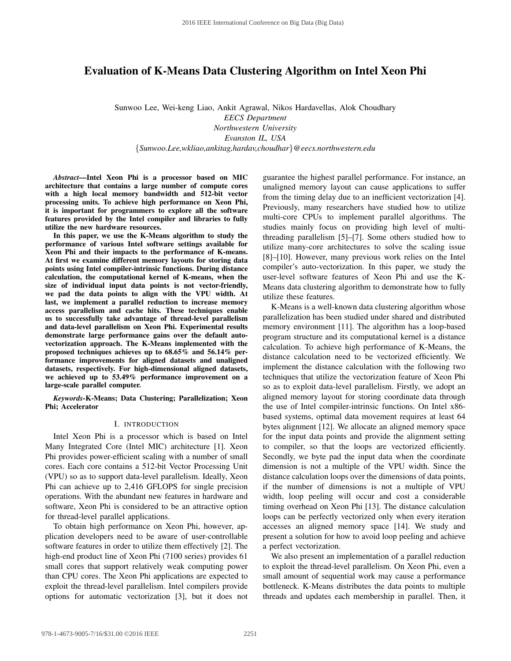# **Evaluation of K-Means Data Clustering Algorithm on Intel Xeon Phi**

Sunwoo Lee, Wei-keng Liao, Ankit Agrawal, Nikos Hardavellas, Alok Choudhary *EECS Department Northwestern University Evanston IL, USA* {*Sunwoo.Lee,wkliao,ankitag,hardav,choudhar*}*@eecs.northwestern.edu*

*Abstract***—Intel Xeon Phi is a processor based on MIC architecture that contains a large number of compute cores with a high local memory bandwidth and 512-bit vector processing units. To achieve high performance on Xeon Phi, it is important for programmers to explore all the software features provided by the Intel compiler and libraries to fully utilize the new hardware resources.**

**In this paper, we use the K-Means algorithm to study the performance of various Intel software settings available for Xeon Phi and their impacts to the performance of K-means. At first we examine different memory layouts for storing data points using Intel compiler-intrinsic functions. During distance calculation, the computational kernel of K-means, when the size of individual input data points is not vector-friendly, we pad the data points to align with the VPU width. At last, we implement a parallel reduction to increase memory access parallelism and cache hits. These techniques enable us to successfully take advantage of thread-level parallelism and data-level parallelism on Xeon Phi. Experimental results demonstrate large performance gains over the default autovectorization approach. The K-Means implemented with the proposed techniques achieves up to 68.65% and 56.14% performance improvements for aligned datasets and unaligned datasets, respectively. For high-dimensional aligned datasets, we achieved up to 53.49% performance improvement on a large-scale parallel computer.**

*Keywords***-K-Means; Data Clustering; Parallelization; Xeon Phi; Accelerator**

#### I. INTRODUCTION

Intel Xeon Phi is a processor which is based on Intel Many Integrated Core (Intel MIC) architecture [1]. Xeon Phi provides power-efficient scaling with a number of small cores. Each core contains a 512-bit Vector Processing Unit (VPU) so as to support data-level parallelism. Ideally, Xeon Phi can achieve up to 2,416 GFLOPS for single precision operations. With the abundant new features in hardware and software, Xeon Phi is considered to be an attractive option for thread-level parallel applications.

To obtain high performance on Xeon Phi, however, application developers need to be aware of user-controllable software features in order to utilize them effectively [2]. The high-end product line of Xeon Phi (7100 series) provides 61 small cores that support relatively weak computing power than CPU cores. The Xeon Phi applications are expected to exploit the thread-level parallelism. Intel compilers provide options for automatic vectorization [3], but it does not guarantee the highest parallel performance. For instance, an unaligned memory layout can cause applications to suffer from the timing delay due to an inefficient vectorization [4]. Previously, many researchers have studied how to utilize multi-core CPUs to implement parallel algorithms. The studies mainly focus on providing high level of multithreading parallelism [5]–[7]. Some others studied how to utilize many-core architectures to solve the scaling issue [8]–[10]. However, many previous work relies on the Intel compiler's auto-vectorization. In this paper, we study the user-level software features of Xeon Phi and use the K-Means data clustering algorithm to demonstrate how to fully utilize these features.

K-Means is a well-known data clustering algorithm whose parallelization has been studied under shared and distributed memory environment [11]. The algorithm has a loop-based program structure and its computational kernel is a distance calculation. To achieve high performance of K-Means, the distance calculation need to be vectorized efficiently. We implement the distance calculation with the following two techniques that utilize the vectorization feature of Xeon Phi so as to exploit data-level parallelism. Firstly, we adopt an aligned memory layout for storing coordinate data through the use of Intel compiler-intrinsic functions. On Intel x86 based systems, optimal data movement requires at least 64 bytes alignment [12]. We allocate an aligned memory space for the input data points and provide the alignment setting to compiler, so that the loops are vectorized efficiently. Secondly, we byte pad the input data when the coordinate dimension is not a multiple of the VPU width. Since the distance calculation loops over the dimensions of data points, if the number of dimensions is not a multiple of VPU width, loop peeling will occur and cost a considerable timing overhead on Xeon Phi [13]. The distance calculation loops can be perfectly vectorized only when every iteration accesses an aligned memory space [14]. We study and present a solution for how to avoid loop peeling and achieve a perfect vectorization.

We also present an implementation of a parallel reduction to exploit the thread-level parallelism. On Xeon Phi, even a small amount of sequential work may cause a performance bottleneck. K-Means distributes the data points to multiple threads and updates each membership in parallel. Then, it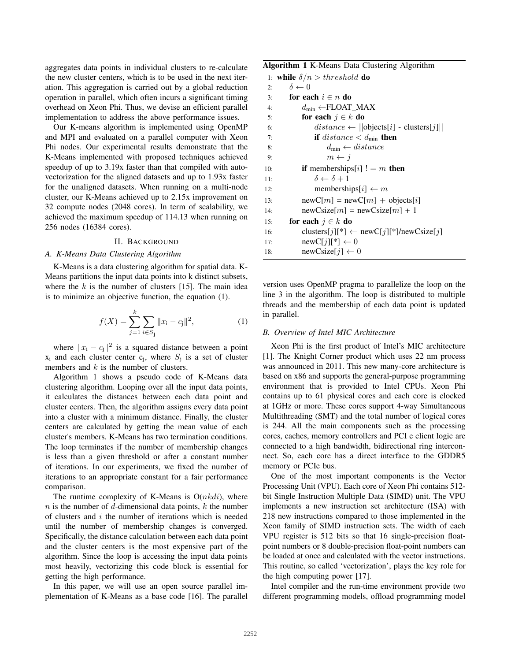aggregates data points in individual clusters to re-calculate the new cluster centers, which is to be used in the next iteration. This aggregation is carried out by a global reduction operation in parallel, which often incurs a significant timing overhead on Xeon Phi. Thus, we devise an efficient parallel implementation to address the above performance issues.

Our K-means algorithm is implemented using OpenMP and MPI and evaluated on a parallel computer with Xeon Phi nodes. Our experimental results demonstrate that the K-Means implemented with proposed techniques achieved speedup of up to 3.19x faster than that compiled with autovectorization for the aligned datasets and up to 1.93x faster for the unaligned datasets. When running on a multi-node cluster, our K-Means achieved up to 2.15x improvement on 32 compute nodes (2048 cores). In term of scalability, we achieved the maximum speedup of 114.13 when running on 256 nodes (16384 cores).

#### II. BACKGROUND

# *A. K-Means Data Clustering Algorithm*

K-Means is a data clustering algorithm for spatial data. K-Means partitions the input data points into k distinct subsets, where the  $k$  is the number of clusters [15]. The main idea is to minimize an objective function, the equation (1).

$$
f(X) = \sum_{j=1}^{k} \sum_{i \in S_j} ||x_i - c_j||^2,
$$
 (1)

where  $||x_i - c_j||^2$  is a squared distance between a point  $x_i$  and each cluster center  $c_j$ , where  $S_j$  is a set of cluster members and  $k$  is the number of clusters.

Algorithm 1 shows a pseudo code of K-Means data clustering algorithm. Looping over all the input data points, it calculates the distances between each data point and cluster centers. Then, the algorithm assigns every data point into a cluster with a minimum distance. Finally, the cluster centers are calculated by getting the mean value of each cluster's members. K-Means has two termination conditions. The loop terminates if the number of membership changes is less than a given threshold or after a constant number of iterations. In our experiments, we fixed the number of iterations to an appropriate constant for a fair performance comparison.

The runtime complexity of K-Means is  $O(nkdi)$ , where  $n$  is the number of d-dimensional data points,  $k$  the number of clusters and  $i$  the number of iterations which is needed until the number of membership changes is converged. Specifically, the distance calculation between each data point and the cluster centers is the most expensive part of the algorithm. Since the loop is accessing the input data points most heavily, vectorizing this code block is essential for getting the high performance.

In this paper, we will use an open source parallel implementation of K-Means as a base code [16]. The parallel

|     | 1: while $\delta/n > threshold$ do                 |
|-----|----------------------------------------------------|
| 2:  | $\delta \leftarrow 0$                              |
| 3:  | for each $i \in n$ do                              |
| 4:  | $d_{\min} \leftarrow$ FLOAT MAX                    |
| 5:  | for each $j \in k$ do                              |
| 6:  | $distance \leftarrow   objects[i] - clusters[j]  $ |
| 7:  | <b>if</b> distance $\lt d_{\min}$ then             |
| 8:  | $d_{\min} \leftarrow distance$                     |
| 9:  | $m \leftarrow j$                                   |
| 10: | <b>if</b> memberships[i] $!= m$ <b>then</b>        |
| 11: | $\delta \leftarrow \delta + 1$                     |
| 12: | memberships[i] $\leftarrow m$                      |
| 13: | $newC[m] = newC[m] + objects[i]$                   |
| 14: | $newCsize[m] = newCsize[m] + 1$                    |
| 15: | for each $j \in k$ do                              |
| 16: | clusters[j][*] $\leftarrow$ newC[j][*]/newCsize[j] |
| 17: | $newC[j][*] \leftarrow 0$                          |
| 18: | newCsize[ $i$ ] $\leftarrow$ 0                     |

version uses OpenMP pragma to parallelize the loop on the line 3 in the algorithm. The loop is distributed to multiple threads and the membership of each data point is updated in parallel.

## *B. Overview of Intel MIC Architecture*

Xeon Phi is the first product of Intel's MIC architecture [1]. The Knight Corner product which uses 22 nm process was announced in 2011. This new many-core architecture is based on x86 and supports the general-purpose programming environment that is provided to Intel CPUs. Xeon Phi contains up to 61 physical cores and each core is clocked at 1GHz or more. These cores support 4-way Simultaneous Multithreading (SMT) and the total number of logical cores is 244. All the main components such as the processing cores, caches, memory controllers and PCI e client logic are connected to a high bandwidth, bidirectional ring interconnect. So, each core has a direct interface to the GDDR5 memory or PCIe bus.

One of the most important components is the Vector Processing Unit (VPU). Each core of Xeon Phi contains 512 bit Single Instruction Multiple Data (SIMD) unit. The VPU implements a new instruction set architecture (ISA) with 218 new instructions compared to those implemented in the Xeon family of SIMD instruction sets. The width of each VPU register is 512 bits so that 16 single-precision floatpoint numbers or 8 double-precision float-point numbers can be loaded at once and calculated with the vector instructions. This routine, so called 'vectorization', plays the key role for the high computing power [17].

Intel compiler and the run-time environment provide two different programming models, offload programming model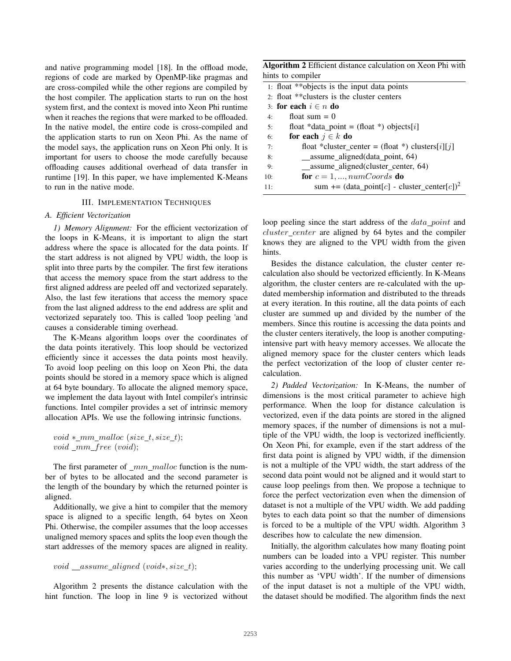and native programming model [18]. In the offload mode, regions of code are marked by OpenMP-like pragmas and are cross-compiled while the other regions are compiled by the host compiler. The application starts to run on the host system first, and the context is moved into Xeon Phi runtime when it reaches the regions that were marked to be offloaded. In the native model, the entire code is cross-compiled and the application starts to run on Xeon Phi. As the name of the model says, the application runs on Xeon Phi only. It is important for users to choose the mode carefully because offloading causes additional overhead of data transfer in runtime [19]. In this paper, we have implemented K-Means to run in the native mode.

## III. IMPLEMENTATION TECHNIQUES

## *A. Efficient Vectorization*

*1) Memory Alignment:* For the efficient vectorization of the loops in K-Means, it is important to align the start address where the space is allocated for the data points. If the start address is not aligned by VPU width, the loop is split into three parts by the compiler. The first few iterations that access the memory space from the start address to the first aligned address are peeled off and vectorized separately. Also, the last few iterations that access the memory space from the last aligned address to the end address are split and vectorized separately too. This is called 'loop peeling 'and causes a considerable timing overhead.

The K-Means algorithm loops over the coordinates of the data points iteratively. This loop should be vectorized efficiently since it accesses the data points most heavily. To avoid loop peeling on this loop on Xeon Phi, the data points should be stored in a memory space which is aligned at 64 byte boundary. To allocate the aligned memory space, we implement the data layout with Intel compiler's intrinsic functions. Intel compiler provides a set of intrinsic memory allocation APIs. We use the following intrinsic functions.

 $void *_{mm\_malloc} (size_t, size_t);$  $void _mm\_free~(void);$ 

The first parameter of  $\,mm$   $\,mm$   $\,malloc$  function is the number of bytes to be allocated and the second parameter is the length of the boundary by which the returned pointer is aligned.

Additionally, we give a hint to compiler that the memory space is aligned to a specific length, 64 bytes on Xeon Phi. Otherwise, the compiler assumes that the loop accesses unaligned memory spaces and splits the loop even though the start addresses of the memory spaces are aligned in reality.

## void assume aligned  $(void*, size t)$ ;

Algorithm 2 presents the distance calculation with the hint function. The loop in line 9 is vectorized without

| Algorithm 2 Efficient distance calculation on Xeon Phi with |  |  |
|-------------------------------------------------------------|--|--|
| hints to compiler                                           |  |  |

|     | 1: float **objects is the input data points             |
|-----|---------------------------------------------------------|
|     | 2: float ** clusters is the cluster centers             |
|     | 3: for each $i \in n$ do                                |
| 4:  | float sum $= 0$                                         |
| 5:  | float *data_point = (float *) objects[i]                |
| 6:  | for each $j \in k$ do                                   |
| 7:  | float *cluster_center = (float *) clusters[i][j]        |
| 8:  | assume_aligned(data_point, 64)                          |
| 9:  | _assume_aligned(cluster_center, 64)                     |
| 10: | for $c = 1, , numCoordinates$ do                        |
| 11: | sum += (data_point[c] - cluster_center[c]) <sup>2</sup> |

loop peeling since the start address of the *data point* and  $cluster\_center$  are aligned by 64 bytes and the compiler knows they are aligned to the VPU width from the given hints.

Besides the distance calculation, the cluster center recalculation also should be vectorized efficiently. In K-Means algorithm, the cluster centers are re-calculated with the updated membership information and distributed to the threads at every iteration. In this routine, all the data points of each cluster are summed up and divided by the number of the members. Since this routine is accessing the data points and the cluster centers iteratively, the loop is another computingintensive part with heavy memory accesses. We allocate the aligned memory space for the cluster centers which leads the perfect vectorization of the loop of cluster center recalculation.

*2) Padded Vectorization:* In K-Means, the number of dimensions is the most critical parameter to achieve high performance. When the loop for distance calculation is vectorized, even if the data points are stored in the aligned memory spaces, if the number of dimensions is not a multiple of the VPU width, the loop is vectorized inefficiently. On Xeon Phi, for example, even if the start address of the first data point is aligned by VPU width, if the dimension is not a multiple of the VPU width, the start address of the second data point would not be aligned and it would start to cause loop peelings from then. We propose a technique to force the perfect vectorization even when the dimension of dataset is not a multiple of the VPU width. We add padding bytes to each data point so that the number of dimensions is forced to be a multiple of the VPU width. Algorithm 3 describes how to calculate the new dimension.

Initially, the algorithm calculates how many floating point numbers can be loaded into a VPU register. This number varies according to the underlying processing unit. We call this number as 'VPU width'. If the number of dimensions of the input dataset is not a multiple of the VPU width, the dataset should be modified. The algorithm finds the next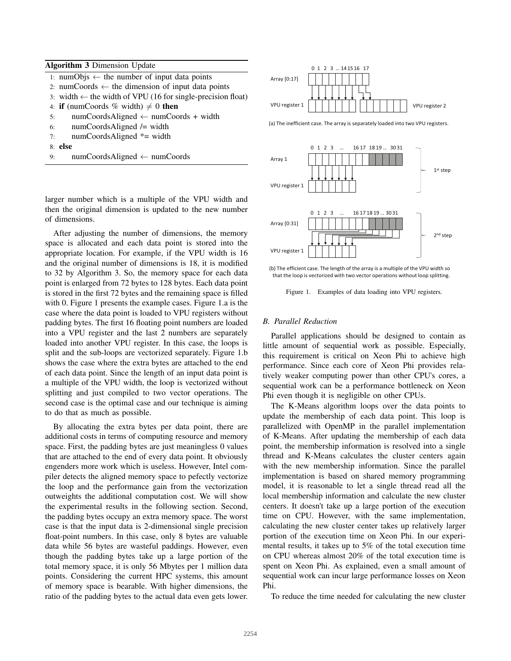| <b>Algorithm 3 Dimension Update</b>                                        |
|----------------------------------------------------------------------------|
| 1: numObjs $\leftarrow$ the number of input data points                    |
| 2: numCoords $\leftarrow$ the dimension of input data points               |
| 3: width $\leftarrow$ the width of VPU (16 for single-precision float)     |
| 4: <b>if</b> (numCoords % width) $\neq$ 0 <b>then</b>                      |
| $numCoordinates {\cal A}$ ligned $\leftarrow numCoordinates + width$<br>5: |
| $numCords \nAligned \nightharpoonup width$<br>6:                           |
| numCoordsAligned $*$ = width<br>7:                                         |
| 8: <b>else</b>                                                             |
| $numCoordinates {\cal A}$ ligned $\leftarrow$ numCoords<br>9:              |
|                                                                            |



(a) The inefficient case. The array is separately loaded into two VPU registers.



larger number which is a multiple of the VPU width and then the original dimension is updated to the new number of dimensions.

After adjusting the number of dimensions, the memory space is allocated and each data point is stored into the appropriate location. For example, if the VPU width is 16 and the original number of dimensions is 18, it is modified to 32 by Algorithm 3. So, the memory space for each data point is enlarged from 72 bytes to 128 bytes. Each data point is stored in the first 72 bytes and the remaining space is filled with 0. Figure 1 presents the example cases. Figure 1.a is the case where the data point is loaded to VPU registers without padding bytes. The first 16 floating point numbers are loaded into a VPU register and the last 2 numbers are separately loaded into another VPU register. In this case, the loops is split and the sub-loops are vectorized separately. Figure 1.b shows the case where the extra bytes are attached to the end of each data point. Since the length of an input data point is a multiple of the VPU width, the loop is vectorized without splitting and just compiled to two vector operations. The second case is the optimal case and our technique is aiming to do that as much as possible.

By allocating the extra bytes per data point, there are additional costs in terms of computing resource and memory space. First, the padding bytes are just meaningless 0 values that are attached to the end of every data point. It obviously engenders more work which is useless. However, Intel compiler detects the aligned memory space to pefectly vectorize the loop and the performance gain from the vectorization outweights the additional computation cost. We will show the experimental results in the following section. Second, the padding bytes occupy an extra memory space. The worst case is that the input data is 2-dimensional single precision float-point numbers. In this case, only 8 bytes are valuable data while 56 bytes are wasteful paddings. However, even though the padding bytes take up a large portion of the total memory space, it is only 56 Mbytes per 1 million data points. Considering the current HPC systems, this amount of memory space is bearable. With higher dimensions, the ratio of the padding bytes to the actual data even gets lower.

(b) The efficient case. The length of the array is a multiple of the VPU width so that the loop is vectorized with two vector operations without loop splitting.

Figure 1. Examples of data loading into VPU registers.

#### *B. Parallel Reduction*

Parallel applications should be designed to contain as little amount of sequential work as possible. Especially, this requirement is critical on Xeon Phi to achieve high performance. Since each core of Xeon Phi provides relatively weaker computing power than other CPU's cores, a sequential work can be a performance bottleneck on Xeon Phi even though it is negligible on other CPUs.

The K-Means algorithm loops over the data points to update the membership of each data point. This loop is parallelized with OpenMP in the parallel implementation of K-Means. After updating the membership of each data point, the membership information is resolved into a single thread and K-Means calculates the cluster centers again with the new membership information. Since the parallel implementation is based on shared memory programming model, it is reasonable to let a single thread read all the local membership information and calculate the new cluster centers. It doesn't take up a large portion of the execution time on CPU. However, with the same implementation, calculating the new cluster center takes up relatively larger portion of the execution time on Xeon Phi. In our experimental results, it takes up to 5% of the total execution time on CPU whereas almost 20% of the total execution time is spent on Xeon Phi. As explained, even a small amount of sequential work can incur large performance losses on Xeon Phi.

To reduce the time needed for calculating the new cluster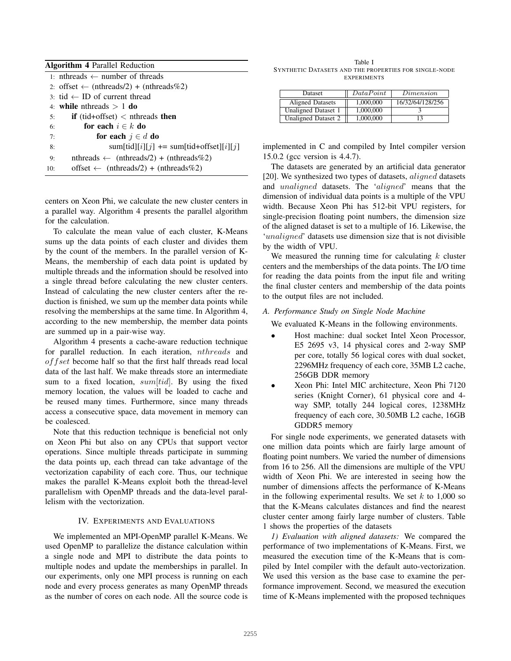|     | <b>Algorithm 4 Parallel Reduction</b>                       |
|-----|-------------------------------------------------------------|
|     | 1: nthreads $\leftarrow$ number of threads                  |
|     | 2: offset $\leftarrow$ (nthreads/2) + (nthreads%2)          |
|     | $3 \cdot \text{tid} \leftarrow \text{ID}$ of current thread |
|     | 4. while nthreads $> 1$ do                                  |
| 5:  | <b>if</b> (tid+offset) $\lt$ nthreads then                  |
| 6:  | for each $i \in k$ do                                       |
| 7:  | for each $j \in d$ do                                       |
| 8:  | $sum[\text{tid}][i][j]$ += sum[tid+offset][i][j]            |
| 9:  | $nthreads \leftarrow (nthreads/2) + (nthreads\%2)$          |
| 10: | offset $\leftarrow$ (nthreads/2) + (nthreads%2)             |
|     |                                                             |

centers on Xeon Phi, we calculate the new cluster centers in a parallel way. Algorithm 4 presents the parallel algorithm for the calculation.

To calculate the mean value of each cluster, K-Means sums up the data points of each cluster and divides them by the count of the members. In the parallel version of K-Means, the membership of each data point is updated by multiple threads and the information should be resolved into a single thread before calculating the new cluster centers. Instead of calculating the new cluster centers after the reduction is finished, we sum up the member data points while resolving the memberships at the same time. In Algorithm 4, according to the new membership, the member data points are summed up in a pair-wise way.

Algorithm 4 presents a cache-aware reduction technique for parallel reduction. In each iteration,  $nthreads$  and of fset become half so that the first half threads read local data of the last half. We make threads store an intermediate sum to a fixed location,  $sum[tid]$ . By using the fixed memory location, the values will be loaded to cache and be reused many times. Furthermore, since many threads access a consecutive space, data movement in memory can be coalesced.

Note that this reduction technique is beneficial not only on Xeon Phi but also on any CPUs that support vector operations. Since multiple threads participate in summing the data points up, each thread can take advantage of the vectorization capability of each core. Thus, our technique makes the parallel K-Means exploit both the thread-level parallelism with OpenMP threads and the data-level parallelism with the vectorization.

### IV. EXPERIMENTS AND EVALUATIONS

We implemented an MPI-OpenMP parallel K-Means. We used OpenMP to parallelize the distance calculation within a single node and MPI to distribute the data points to multiple nodes and update the memberships in parallel. In our experiments, only one MPI process is running on each node and every process generates as many OpenMP threads as the number of cores on each node. All the source code is

Table I SYNTHETIC DATASETS AND THE PROPERTIES FOR SINGLE-NODE EXPERIMENTS

| <b>Dataset</b>             | DataPoint | Dimension        |
|----------------------------|-----------|------------------|
| Aligned Datasets           | 1.000.000 | 16/32/64/128/256 |
| Unaligned Dataset 1        | 1,000,000 |                  |
| <b>Unaligned Dataset 2</b> | 1,000,000 |                  |

implemented in C and compiled by Intel compiler version 15.0.2 (gcc version is 4.4.7).

The datasets are generated by an artificial data generator [20]. We synthesized two types of datasets,  $aligned$  datasets and *unaligned* datasets. The 'aligned' means that the dimension of individual data points is a multiple of the VPU width. Because Xeon Phi has 512-bit VPU registers, for single-precision floating point numbers, the dimension size of the aligned dataset is set to a multiple of 16. Likewise, the 'unaligned' datasets use dimension size that is not divisible by the width of VPU.

We measured the running time for calculating  $k$  cluster centers and the memberships of the data points. The I/O time for reading the data points from the input file and writing the final cluster centers and membership of the data points to the output files are not included.

## *A. Performance Study on Single Node Machine*

We evaluated K-Means in the following environments.

- ∙ Host machine: dual socket Intel Xeon Processor, E5 2695 v3, 14 physical cores and 2-way SMP per core, totally 56 logical cores with dual socket, 2296MHz frequency of each core, 35MB L2 cache, 256GB DDR memory
- ∙ Xeon Phi: Intel MIC architecture, Xeon Phi 7120 series (Knight Corner), 61 physical core and 4 way SMP, totally 244 logical cores, 1238MHz frequency of each core, 30.50MB L2 cache, 16GB GDDR5 memory

For single node experiments, we generated datasets with one million data points which are fairly large amount of floating point numbers. We varied the number of dimensions from 16 to 256. All the dimensions are multiple of the VPU width of Xeon Phi. We are interested in seeing how the number of dimensions affects the performance of K-Means in the following experimental results. We set  $k$  to 1,000 so that the K-Means calculates distances and find the nearest cluster center among fairly large number of clusters. Table 1 shows the properties of the datasets

*1) Evaluation with aligned datasets:* We compared the performance of two implementations of K-Means. First, we measured the execution time of the K-Means that is compiled by Intel compiler with the default auto-vectorization. We used this version as the base case to examine the performance improvement. Second, we measured the execution time of K-Means implemented with the proposed techniques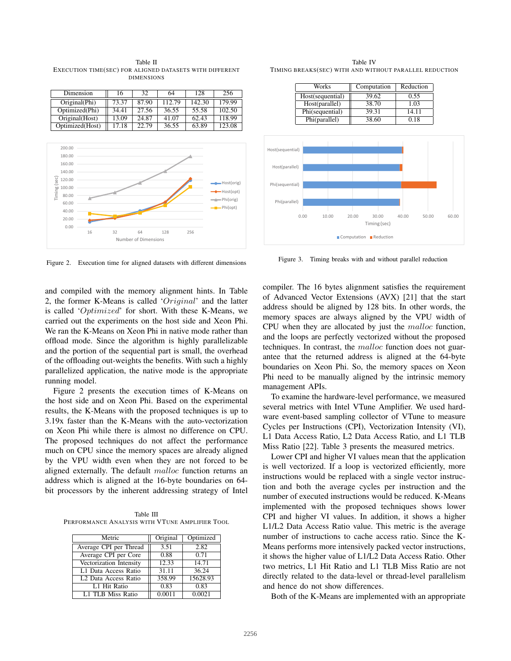Dimension 16 32 64 128 256 Original(Phi) 73.37 87.90 112.79 142.30 179.99 Optimized(Phi) 34.41 27.56 36.55 55.58 102.50<br>Original(Host) 13.09 24.87 41.07 62.43 118.99 Original(Host) 13.09 24.87 41.07 62.43 118.99 Optimized(Host) 17.18 22.79 36.55 63.89 123.08

Table II EXECUTION TIME(SEC) FOR ALIGNED DATASETS WITH DIFFERENT DIMENSIONS



Figure 2. Execution time for aligned datasets with different dimensions

and compiled with the memory alignment hints. In Table 2, the former K-Means is called ' $Original'$  and the latter is called 'Optimized' for short. With these K-Means, we carried out the experiments on the host side and Xeon Phi. We ran the K-Means on Xeon Phi in native mode rather than offload mode. Since the algorithm is highly parallelizable and the portion of the sequential part is small, the overhead of the offloading out-weights the benefits. With such a highly parallelized application, the native mode is the appropriate running model.

Figure 2 presents the execution times of K-Means on the host side and on Xeon Phi. Based on the experimental results, the K-Means with the proposed techniques is up to 3.19x faster than the K-Means with the auto-vectorization on Xeon Phi while there is almost no difference on CPU. The proposed techniques do not affect the performance much on CPU since the memory spaces are already aligned by the VPU width even when they are not forced to be aligned externally. The default  $malloc$  function returns an address which is aligned at the 16-byte boundaries on 64 bit processors by the inherent addressing strategy of Intel

Table III PERFORMANCE ANALYSIS WITH VTUNE AMPLIFIER TOOL

| Metric                           | Original | Optimized |
|----------------------------------|----------|-----------|
| Average CPI per Thread           | 3.51     | 2.82      |
| Average CPI per Core             | 0.88     | 0.71      |
| Vectorization Intensity          | 12.33    | 14.71     |
| L1 Data Access Ratio             | 31.11    | 36.24     |
| L <sub>2</sub> Data Access Ratio | 358.99   | 15628.93  |
| L1 Hit Ratio                     | 0.83     | 0.83      |
| L1 TLB Miss Ratio                | 0.0011   | 0.0021    |

Table IV TIMING BREAKS(SEC) WITH AND WITHOUT PARALLEL REDUCTION

| Works            | Computation | Reduction |
|------------------|-------------|-----------|
| Host(sequential) | 39.62       | 0.55      |
| Host(parallel)   | 38.70       | 1.03      |
| Phi(sequential)  | 39.31       | 14.11     |
| Phi(parallel)    | 38.60       | 0.18      |



Figure 3. Timing breaks with and without parallel reduction

compiler. The 16 bytes alignment satisfies the requirement of Advanced Vector Extensions (AVX) [21] that the start address should be aligned by 128 bits. In other words, the memory spaces are always aligned by the VPU width of CPU when they are allocated by just the  $malloc$  function, and the loops are perfectly vectorized without the proposed techniques. In contrast, the  $malloc$  function does not guarantee that the returned address is aligned at the 64-byte boundaries on Xeon Phi. So, the memory spaces on Xeon Phi need to be manually aligned by the intrinsic memory management APIs.

To examine the hardware-level performance, we measured several metrics with Intel VTune Amplifier. We used hardware event-based sampling collector of VTune to measure Cycles per Instructions (CPI), Vectorization Intensity (VI), L1 Data Access Ratio, L2 Data Access Ratio, and L1 TLB Miss Ratio [22]. Table 3 presents the measured metrics.

Lower CPI and higher VI values mean that the application is well vectorized. If a loop is vectorized efficiently, more instructions would be replaced with a single vector instruction and both the average cycles per instruction and the number of executed instructions would be reduced. K-Means implemented with the proposed techniques shows lower CPI and higher VI values. In addition, it shows a higher L1/L2 Data Access Ratio value. This metric is the average number of instructions to cache access ratio. Since the K-Means performs more intensively packed vector instructions, it shows the higher value of L1/L2 Data Access Ratio. Other two metrics, L1 Hit Ratio and L1 TLB Miss Ratio are not directly related to the data-level or thread-level parallelism and hence do not show differences.

Both of the K-Means are implemented with an appropriate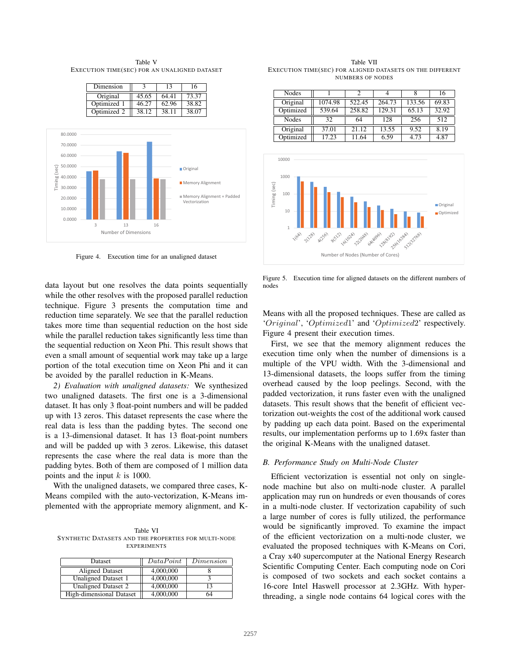Table V EXECUTION TIME(SEC) FOR AN UNALIGNED DATASET





Figure 4. Execution time for an unaligned dataset

data layout but one resolves the data points sequentially while the other resolves with the proposed parallel reduction technique. Figure 3 presents the computation time and reduction time separately. We see that the parallel reduction takes more time than sequential reduction on the host side while the parallel reduction takes significantly less time than the sequential reduction on Xeon Phi. This result shows that even a small amount of sequential work may take up a large portion of the total execution time on Xeon Phi and it can be avoided by the parallel reduction in K-Means.

*2) Evaluation with unaligned datasets:* We synthesized two unaligned datasets. The first one is a 3-dimensional dataset. It has only 3 float-point numbers and will be padded up with 13 zeros. This dataset represents the case where the real data is less than the padding bytes. The second one is a 13-dimensional dataset. It has 13 float-point numbers and will be padded up with 3 zeros. Likewise, this dataset represents the case where the real data is more than the padding bytes. Both of them are composed of 1 million data points and the input  $k$  is 1000.

With the unaligned datasets, we compared three cases, K-Means compiled with the auto-vectorization, K-Means implemented with the appropriate memory alignment, and K-

Table VI SYNTHETIC DATASETS AND THE PROPERTIES FOR MULTI-NODE **EXPERIMENTS** 

| Dataset                  | DataPoint | Dimension |
|--------------------------|-----------|-----------|
| Aligned Dataset          | 4,000,000 |           |
| Unaligned Dataset 1      | 4,000,000 |           |
| Unaligned Dataset 2      | 4,000,000 | 13        |
| High-dimensional Dataset | 4,000,000 | 64        |

Table VII EXECUTION TIME(SEC) FOR ALIGNED DATASETS ON THE DIFFERENT NUMBERS OF NODES

| Nodes     |         |        |        |        | 16    |
|-----------|---------|--------|--------|--------|-------|
| Original  | 1074.98 | 522.45 | 264.73 | 133.56 | 69.83 |
| Optimized | 539.64  | 258.82 | 129.31 | 65.13  | 32.92 |
| Nodes     | 32      | 64     | 128    | 256    | 512   |
| Original  | 37.01   | 21.12  | 13.55  | 9.52   | 8.19  |
| Optimized | 17.23   | 11.64  | 6.59   | 4.73   | 4.87  |



Figure 5. Execution time for aligned datasets on the different numbers of nodes

Means with all the proposed techniques. These are called as 'Original', 'Optimized1' and 'Optimized2' respectively. Figure 4 present their execution times.

First, we see that the memory alignment reduces the execution time only when the number of dimensions is a multiple of the VPU width. With the 3-dimensional and 13-dimensional datasets, the loops suffer from the timing overhead caused by the loop peelings. Second, with the padded vectorization, it runs faster even with the unaligned datasets. This result shows that the benefit of efficient vectorization out-weights the cost of the additional work caused by padding up each data point. Based on the experimental results, our implementation performs up to 1.69x faster than the original K-Means with the unaligned dataset.

## *B. Performance Study on Multi-Node Cluster*

Efficient vectorization is essential not only on singlenode machine but also on multi-node cluster. A parallel application may run on hundreds or even thousands of cores in a multi-node cluster. If vectorization capability of such a large number of cores is fully utilized, the performance would be significantly improved. To examine the impact of the efficient vectorization on a multi-node cluster, we evaluated the proposed techniques with K-Means on Cori, a Cray x40 supercomputer at the National Energy Research Scientific Computing Center. Each computing node on Cori is composed of two sockets and each socket contains a 16-core Intel Haswell processor at 2.3GHz. With hyperthreading, a single node contains 64 logical cores with the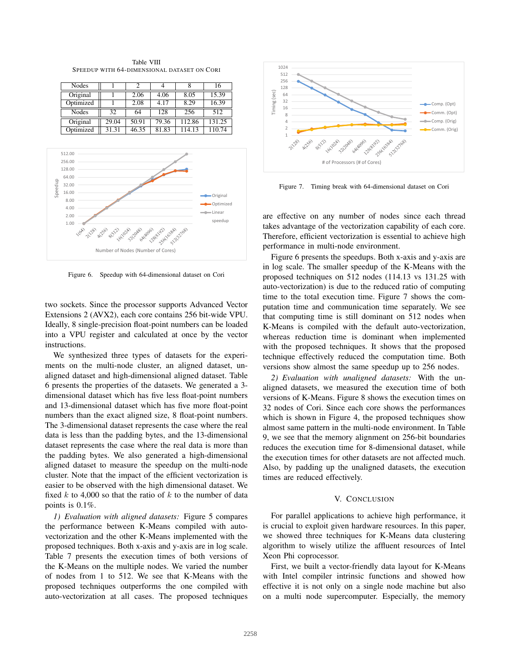Table VIII SPEEDUP WITH 64-DIMENSIONAL DATASET ON CORI

| <b>Nodes</b> |       |       |       |        | 16     |
|--------------|-------|-------|-------|--------|--------|
| Original     |       | 2.06  | 4.06  | 8.05   | 15.39  |
| Optimized    |       | 2.08  | 4.17  | 8.29   | 16.39  |
| Nodes        | 32    | 64    | 128   | 256    | 512    |
| Original     | 29.04 | 50.91 | 79.36 | 112.86 | 131.25 |
| Optimized    | 31.31 | 46.35 | 81.83 | 14.13  | 10 74  |



Figure 6. Speedup with 64-dimensional dataset on Cori

two sockets. Since the processor supports Advanced Vector Extensions 2 (AVX2), each core contains 256 bit-wide VPU. Ideally, 8 single-precision float-point numbers can be loaded into a VPU register and calculated at once by the vector instructions.

We synthesized three types of datasets for the experiments on the multi-node cluster, an aligned dataset, unaligned dataset and high-dimensional aligned dataset. Table 6 presents the properties of the datasets. We generated a 3 dimensional dataset which has five less float-point numbers and 13-dimensional dataset which has five more float-point numbers than the exact aligned size, 8 float-point numbers. The 3-dimensional dataset represents the case where the real data is less than the padding bytes, and the 13-dimensional dataset represents the case where the real data is more than the padding bytes. We also generated a high-dimensional aligned dataset to measure the speedup on the multi-node cluster. Note that the impact of the efficient vectorization is easier to be observed with the high dimensional dataset. We fixed  $k$  to 4,000 so that the ratio of  $k$  to the number of data points is 0.1%.

*1) Evaluation with aligned datasets:* Figure 5 compares the performance between K-Means compiled with autovectorization and the other K-Means implemented with the proposed techniques. Both x-axis and y-axis are in log scale. Table 7 presents the execution times of both versions of the K-Means on the multiple nodes. We varied the number of nodes from 1 to 512. We see that K-Means with the proposed techniques outperforms the one compiled with auto-vectorization at all cases. The proposed techniques



Figure 7. Timing break with 64-dimensional dataset on Cori

are effective on any number of nodes since each thread takes advantage of the vectorization capability of each core. Therefore, efficient vectorization is essential to achieve high performance in multi-node environment.

Figure 6 presents the speedups. Both x-axis and y-axis are in log scale. The smaller speedup of the K-Means with the proposed techniques on 512 nodes (114.13 vs 131.25 with auto-vectorization) is due to the reduced ratio of computing time to the total execution time. Figure 7 shows the computation time and communication time separately. We see that computing time is still dominant on 512 nodes when K-Means is compiled with the default auto-vectorization, whereas reduction time is dominant when implemented with the proposed techniques. It shows that the proposed technique effectively reduced the computation time. Both versions show almost the same speedup up to 256 nodes.

*2) Evaluation with unaligned datasets:* With the unaligned datasets, we measured the execution time of both versions of K-Means. Figure 8 shows the execution times on 32 nodes of Cori. Since each core shows the performances which is shown in Figure 4, the proposed techniques show almost same pattern in the multi-node environment. In Table 9, we see that the memory alignment on 256-bit boundaries reduces the execution time for 8-dimensional dataset, while the execution times for other datasets are not affected much. Also, by padding up the unaligned datasets, the execution times are reduced effectively.

### V. CONCLUSION

For parallel applications to achieve high performance, it is crucial to exploit given hardware resources. In this paper, we showed three techniques for K-Means data clustering algorithm to wisely utilize the affluent resources of Intel Xeon Phi coprocessor.

First, we built a vector-friendly data layout for K-Means with Intel compiler intrinsic functions and showed how effective it is not only on a single node machine but also on a multi node supercomputer. Especially, the memory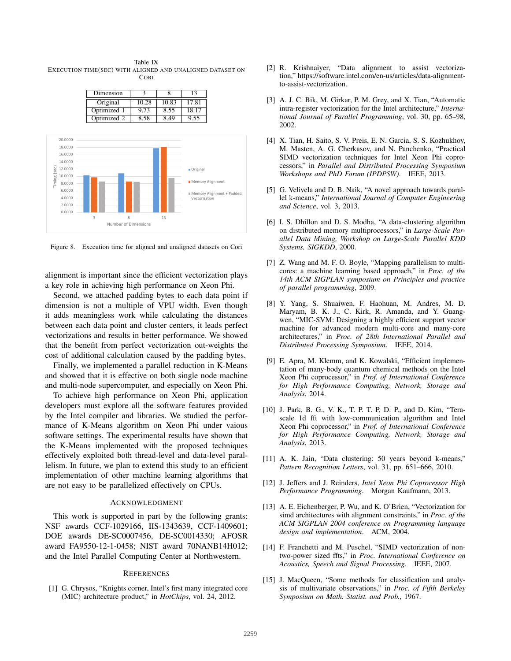Table IX EXECUTION TIME(SEC) WITH ALIGNED AND UNALIGNED DATASET ON **CORI** 





Figure 8. Execution time for aligned and unaligned datasets on Cori

alignment is important since the efficient vectorization plays a key role in achieving high performance on Xeon Phi.

Second, we attached padding bytes to each data point if dimension is not a multiple of VPU width. Even though it adds meaningless work while calculating the distances between each data point and cluster centers, it leads perfect vectorizations and results in better performance. We showed that the benefit from perfect vectorization out-weights the cost of additional calculation caused by the padding bytes.

Finally, we implemented a parallel reduction in K-Means and showed that it is effective on both single node machine and multi-node supercomputer, and especially on Xeon Phi.

To achieve high performance on Xeon Phi, application developers must explore all the software features provided by the Intel compiler and libraries. We studied the performance of K-Means algorithm on Xeon Phi under vaious software settings. The experimental results have shown that the K-Means implemented with the proposed techniques effectively exploited both thread-level and data-level parallelism. In future, we plan to extend this study to an efficient implementation of other machine learning algorithms that are not easy to be parallelized effectively on CPUs.

#### ACKNOWLEDGMENT

This work is supported in part by the following grants: NSF awards CCF-1029166, IIS-1343639, CCF-1409601; DOE awards DE-SC0007456, DE-SC0014330; AFOSR award FA9550-12-1-0458; NIST award 70NANB14H012; and the Intel Parallel Computing Center at Northwestern.

#### **REFERENCES**

[1] G. Chrysos, "Knights corner, Intel's first many integrated core (MIC) architecture product," in *HotChips*, vol. 24, 2012.

- [2] R. Krishnaiyer, "Data alignment to assist vectorization," https://software.intel.com/en-us/articles/data-alignmentto-assist-vectorization.
- [3] A. J. C. Bik, M. Girkar, P. M. Grey, and X. Tian, "Automatic intra-register vectorization for the Intel architecture," *International Journal of Parallel Programming*, vol. 30, pp. 65–98, 2002.
- [4] X. Tian, H. Saito, S. V. Preis, E. N. Garcia, S. S. Kozhukhov, M. Masten, A. G. Cherkasov, and N. Panchenko, "Practical SIMD vectorization techniques for Intel Xeon Phi coprocessors," in *Parallel and Distributed Processing Symposium Workshops and PhD Forum (IPDPSW)*. IEEE, 2013.
- [5] G. Velivela and D. B. Naik, "A novel approach towards parallel k-means," *International Journal of Computer Engineering and Science*, vol. 3, 2013.
- [6] I. S. Dhillon and D. S. Modha, "A data-clustering algorithm on distributed memory multiprocessors," in *Large-Scale Parallel Data Mining, Workshop on Large-Scale Parallel KDD Systems, SIGKDD*, 2000.
- [7] Z. Wang and M. F. O. Boyle, "Mapping parallelism to multicores: a machine learning based approach," in *Proc. of the 14th ACM SIGPLAN symposium on Principles and practice of parallel programming*, 2009.
- [8] Y. Yang, S. Shuaiwen, F. Haohuan, M. Andres, M. D. Maryam, B. K. J., C. Kirk, R. Amanda, and Y. Guangwen, "MIC-SVM: Designing a highly efficient support vector machine for advanced modern multi-core and many-core architectures," in *Proc. of 28th International Parallel and Distributed Processing Symposium*. IEEE, 2014.
- [9] E. Apra, M. Klemm, and K. Kowalski, "Efficient implementation of many-body quantum chemical methods on the Intel Xeon Phi coprocessor," in *Prof. of International Conference for High Performance Computing, Network, Storage and Analysis*, 2014.
- [10] J. Park, B. G., V. K., T. P. T. P, D. P., and D. Kim, "Terascale 1d fft with low-communication algorithm and Intel Xeon Phi coprocessor," in *Prof. of International Conference for High Performance Computing, Network, Storage and Analysis*, 2013.
- [11] A. K. Jain, "Data clustering: 50 years beyond k-means," *Pattern Recognition Letters*, vol. 31, pp. 651–666, 2010.
- [12] J. Jeffers and J. Reinders, *Intel Xeon Phi Coprocessor High Performance Programming*. Morgan Kaufmann, 2013.
- [13] A. E. Eichenberger, P. Wu, and K. O'Brien, "Vectorization for simd architectures with alignment constraints," in *Proc. of the ACM SIGPLAN 2004 conference on Programming language design and implementation*. ACM, 2004.
- [14] F. Franchetti and M. Puschel, "SIMD vectorization of nontwo-power sized ffts," in *Proc. International Conference on Acoustics, Speech and Signal Processing*. IEEE, 2007.
- [15] J. MacQueen, "Some methods for classification and analysis of multivariate observations," in *Proc. of Fifth Berkeley Symposium on Math. Statist. and Prob.*, 1967.